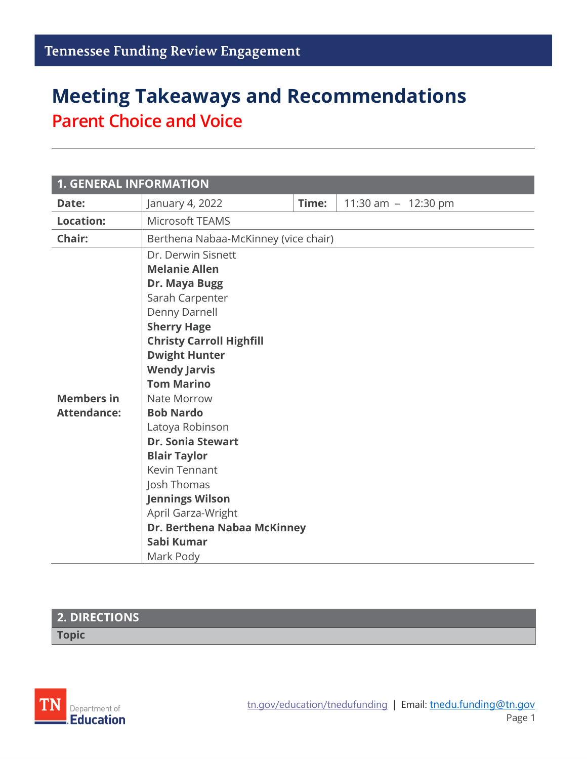# **Meeting Takeaways and Recommendations Parent Choice and Voice**

| <b>1. GENERAL INFORMATION</b> |                                      |       |                       |  |
|-------------------------------|--------------------------------------|-------|-----------------------|--|
| Date:                         | January 4, 2022                      | Time: | 11:30 am $-$ 12:30 pm |  |
| Location:                     | Microsoft TEAMS                      |       |                       |  |
| Chair:                        | Berthena Nabaa-McKinney (vice chair) |       |                       |  |
|                               | Dr. Derwin Sisnett                   |       |                       |  |
|                               | <b>Melanie Allen</b>                 |       |                       |  |
|                               | Dr. Maya Bugg                        |       |                       |  |
|                               | Sarah Carpenter                      |       |                       |  |
|                               | Denny Darnell                        |       |                       |  |
|                               | <b>Sherry Hage</b>                   |       |                       |  |
|                               | <b>Christy Carroll Highfill</b>      |       |                       |  |
|                               | <b>Dwight Hunter</b>                 |       |                       |  |
|                               | <b>Wendy Jarvis</b>                  |       |                       |  |
|                               | <b>Tom Marino</b>                    |       |                       |  |
| <b>Members in</b>             | Nate Morrow                          |       |                       |  |
| <b>Attendance:</b>            | <b>Bob Nardo</b>                     |       |                       |  |
|                               | Latoya Robinson                      |       |                       |  |
|                               | <b>Dr. Sonia Stewart</b>             |       |                       |  |
|                               | <b>Blair Taylor</b>                  |       |                       |  |
|                               | <b>Kevin Tennant</b>                 |       |                       |  |
|                               | Josh Thomas                          |       |                       |  |
|                               | <b>Jennings Wilson</b>               |       |                       |  |
|                               | April Garza-Wright                   |       |                       |  |
|                               | Dr. Berthena Nabaa McKinney          |       |                       |  |
|                               | Sabi Kumar                           |       |                       |  |
|                               | Mark Pody                            |       |                       |  |

## **2. DIRECTIONS Topic**

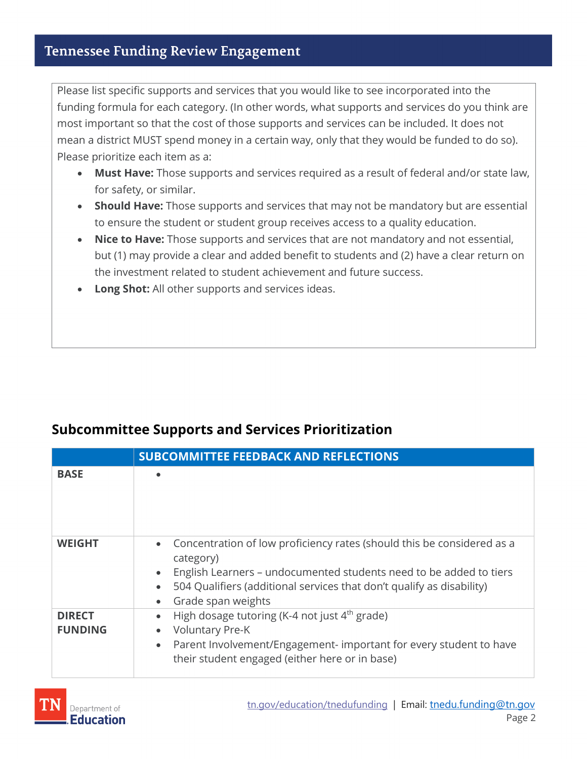#### **Tennessee Funding Review Engagement**

Please list specific supports and services that you would like to see incorporated into the funding formula for each category. (In other words, what supports and services do you think are most important so that the cost of those supports and services can be included. It does not mean a district MUST spend money in a certain way, only that they would be funded to do so). Please prioritize each item as a:

- **Must Have:** Those supports and services required as a result of federal and/or state law, for safety, or similar.
- **Should Have:** Those supports and services that may not be mandatory but are essential to ensure the student or student group receives access to a quality education.
- **Nice to Have:** Those supports and services that are not mandatory and not essential, but (1) may provide a clear and added benefit to students and (2) have a clear return on the investment related to student achievement and future success.
- **Long Shot:** All other supports and services ideas.

|                                 | <b>SUBCOMMITTEE FEEDBACK AND REFLECTIONS</b>                                                                                                                                                                                                                                                                 |  |
|---------------------------------|--------------------------------------------------------------------------------------------------------------------------------------------------------------------------------------------------------------------------------------------------------------------------------------------------------------|--|
| <b>BASE</b>                     | $\bullet$                                                                                                                                                                                                                                                                                                    |  |
| <b>WEIGHT</b>                   | Concentration of low proficiency rates (should this be considered as a<br>$\bullet$<br>category)<br>English Learners - undocumented students need to be added to tiers<br>$\bullet$<br>504 Qualifiers (additional services that don't qualify as disability)<br>$\bullet$<br>Grade span weights<br>$\bullet$ |  |
| <b>DIRECT</b><br><b>FUNDING</b> | High dosage tutoring (K-4 not just $4th$ grade)<br>$\bullet$<br><b>Voluntary Pre-K</b><br>$\bullet$<br>Parent Involvement/Engagement-important for every student to have<br>$\bullet$<br>their student engaged (either here or in base)                                                                      |  |

### **Subcommittee Supports and Services Prioritization**